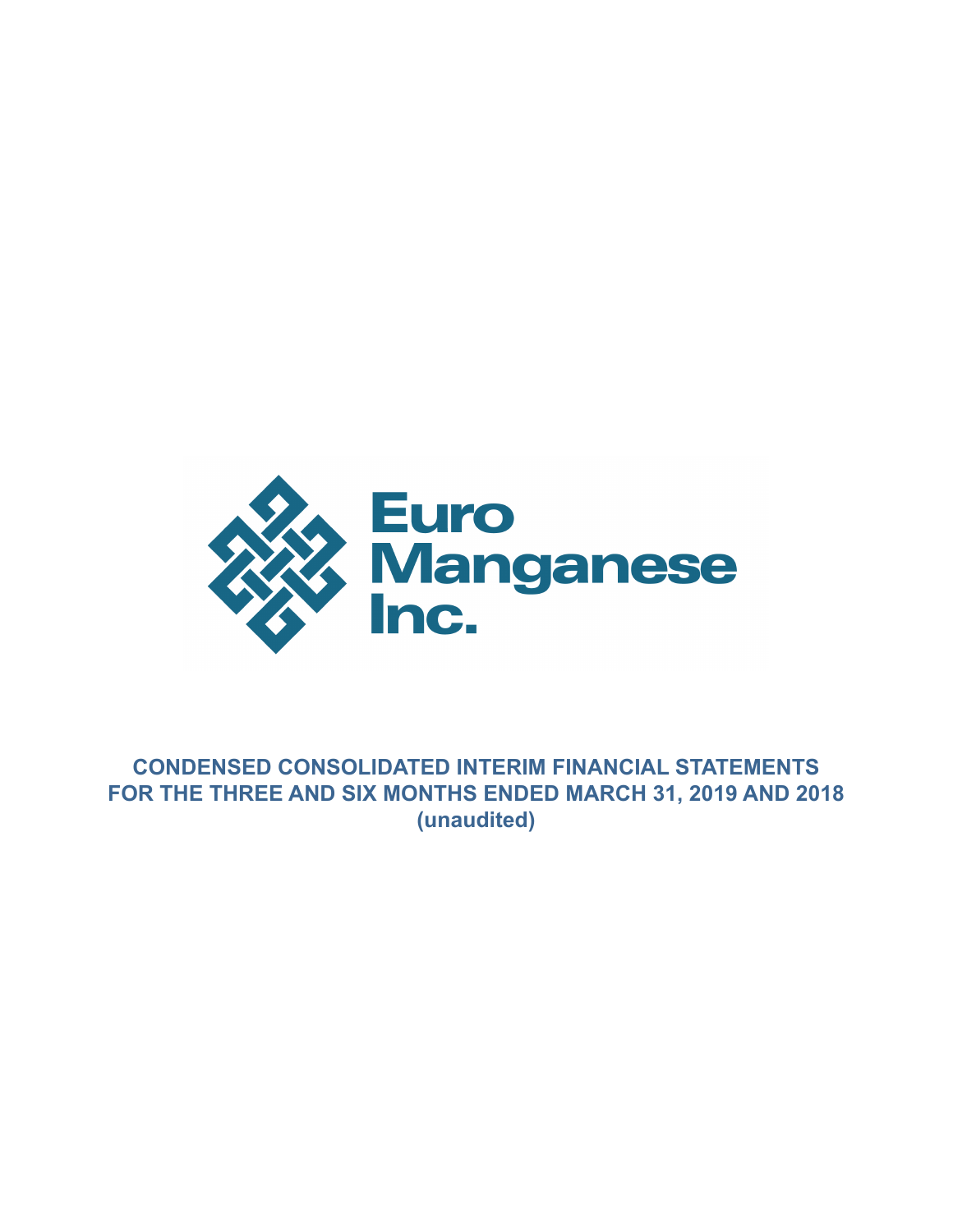

# **CONDENSED CONSOLIDATED INTERIM FINANCIAL STATEMENTS FOR THE THREE AND SIX MONTHS ENDED MARCH 31, 2019 AND 2018 (unaudited)**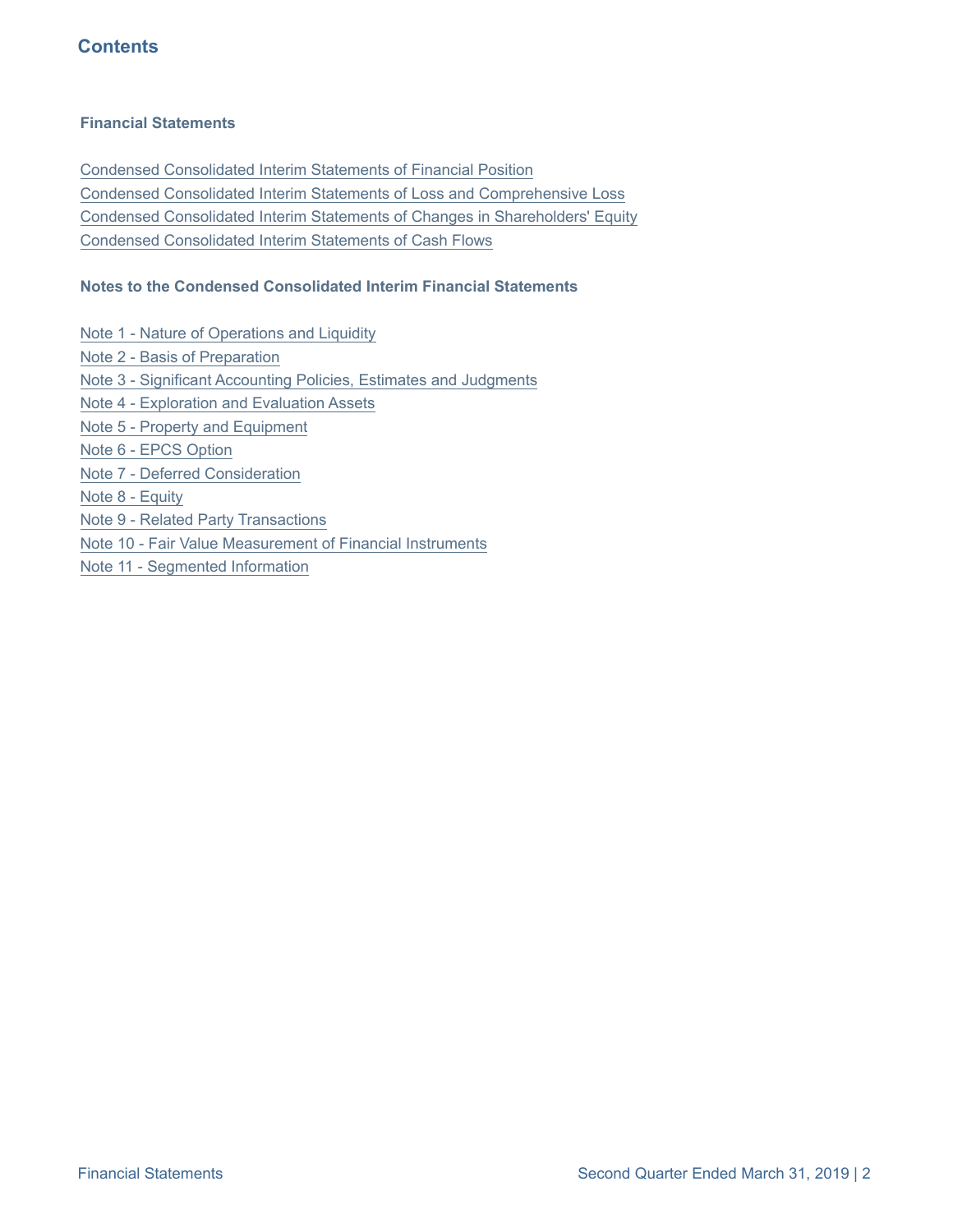## **Contents**

#### **Financial Statements**

[Condensed Consolidated Interim Statements of Financial Position](#page-2-0) [Condensed Consolidated Interim Statements of Loss and Comprehensive Loss](#page-3-0) [Condensed Consolidated Interim Statements of Changes in Shareholders' Equity](#page-4-0) [Condensed Consolidated Interim Statements of Cash Flows](#page-5-0)

#### **Notes to the Condensed Consolidated Interim Financial Statements**

[Note 1 - Nature of Operations and Liquidity](#page-6-0)

- [Note 2 Basis of Preparation](#page-6-0)
- [Note 3 Significant Accounting Policies, Estimates and Judgments](#page-7-0)
- [Note 4 Exploration and Evaluation Assets](#page-9-0)
- [Note 5 Property and Equipment](#page-10-0)
- [Note 6 EPCS Option](#page-11-0)
- [Note 7 Deferred Consideration](#page-12-0)
- [Note 8 Equity](#page-13-0)
- [Note 9 Related Party Transactions](#page-16-0)
- [Note 10 Fair Value Measurement of Financial Instruments](#page-17-0)
- [Note 11 Segmented Information](#page-17-0)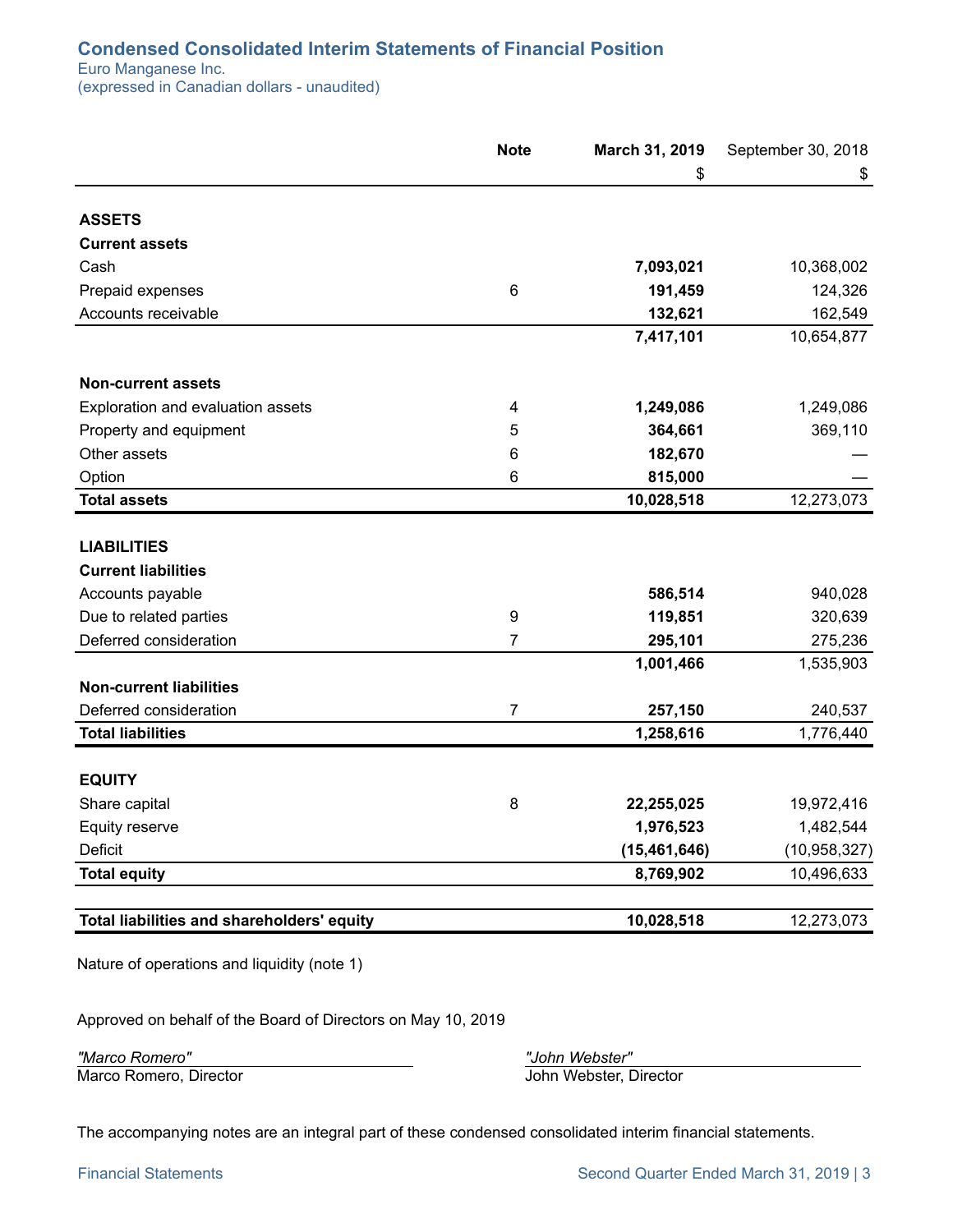#### <span id="page-2-0"></span>**Condensed Consolidated Interim Statements of Financial Position**

Euro Manganese Inc. (expressed in Canadian dollars - unaudited)

|                                                  | <b>Note</b>      | March 31, 2019 | September 30, 2018 |
|--------------------------------------------------|------------------|----------------|--------------------|
|                                                  |                  | \$             | \$                 |
| <b>ASSETS</b>                                    |                  |                |                    |
| <b>Current assets</b>                            |                  |                |                    |
| Cash                                             |                  | 7,093,021      | 10,368,002         |
| Prepaid expenses                                 | $\,6$            | 191,459        | 124,326            |
| Accounts receivable                              |                  | 132,621        | 162,549            |
|                                                  |                  | 7,417,101      | 10,654,877         |
| <b>Non-current assets</b>                        |                  |                |                    |
| Exploration and evaluation assets                | 4                | 1,249,086      | 1,249,086          |
| Property and equipment                           | 5                | 364,661        | 369,110            |
| Other assets                                     | 6                | 182,670        |                    |
| Option                                           | 6                | 815,000        |                    |
| <b>Total assets</b>                              |                  | 10,028,518     | 12,273,073         |
| <b>LIABILITIES</b><br><b>Current liabilities</b> |                  |                |                    |
| Accounts payable                                 |                  | 586,514        | 940,028            |
| Due to related parties                           | $\boldsymbol{9}$ | 119,851        | 320,639            |
| Deferred consideration                           | $\overline{7}$   | 295,101        | 275,236            |
|                                                  |                  | 1,001,466      | 1,535,903          |
| <b>Non-current liabilities</b>                   |                  |                |                    |
| Deferred consideration                           | 7                | 257,150        | 240,537            |
| <b>Total liabilities</b>                         |                  | 1,258,616      | 1,776,440          |
|                                                  |                  |                |                    |
| <b>EQUITY</b>                                    |                  |                |                    |
| Share capital                                    | 8                | 22,255,025     | 19,972,416         |
| Equity reserve                                   |                  | 1,976,523      | 1,482,544          |
| <b>Deficit</b>                                   |                  | (15, 461, 646) | (10, 958, 327)     |
| <b>Total equity</b>                              |                  | 8,769,902      | 10,496,633         |
| Total liabilities and shareholders' equity       |                  | 10,028,518     | 12,273,073         |
|                                                  |                  |                |                    |

Nature of operations and liquidity (note 1)

Approved on behalf of the Board of Directors on May 10, 2019

*"Marco Romero" "John Webster"*

Marco Romero, Director John Webster, Director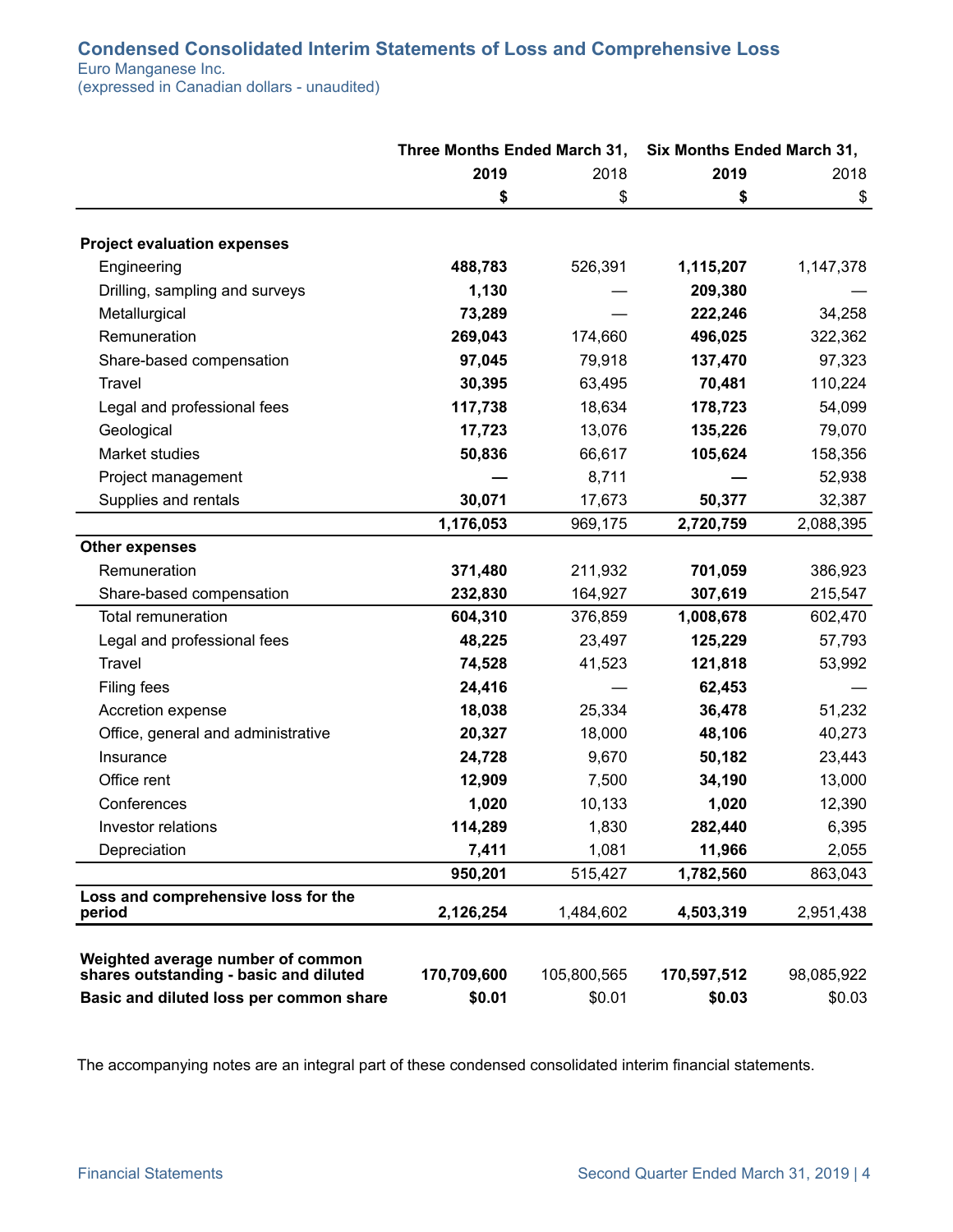## <span id="page-3-0"></span>**Condensed Consolidated Interim Statements of Loss and Comprehensive Loss**

Euro Manganese Inc.

(expressed in Canadian dollars - unaudited)

|                                                                             | Three Months Ended March 31, |             | Six Months Ended March 31, |            |
|-----------------------------------------------------------------------------|------------------------------|-------------|----------------------------|------------|
|                                                                             | 2019                         | 2018        | 2019                       | 2018       |
|                                                                             | \$                           | \$          | \$                         | \$         |
| <b>Project evaluation expenses</b>                                          |                              |             |                            |            |
| Engineering                                                                 | 488,783                      | 526,391     | 1,115,207                  | 1,147,378  |
| Drilling, sampling and surveys                                              | 1,130                        |             | 209,380                    |            |
| Metallurgical                                                               | 73,289                       |             | 222,246                    | 34,258     |
| Remuneration                                                                | 269,043                      | 174,660     | 496,025                    | 322,362    |
| Share-based compensation                                                    | 97,045                       | 79,918      | 137,470                    | 97,323     |
| Travel                                                                      | 30,395                       | 63,495      | 70,481                     | 110,224    |
| Legal and professional fees                                                 | 117,738                      | 18,634      | 178,723                    | 54,099     |
| Geological                                                                  | 17,723                       | 13,076      | 135,226                    | 79,070     |
| Market studies                                                              | 50,836                       | 66,617      | 105,624                    | 158,356    |
| Project management                                                          |                              | 8,711       |                            | 52,938     |
| Supplies and rentals                                                        | 30,071                       | 17,673      | 50,377                     | 32,387     |
|                                                                             | 1,176,053                    | 969,175     | 2,720,759                  | 2,088,395  |
| <b>Other expenses</b>                                                       |                              |             |                            |            |
| Remuneration                                                                | 371,480                      | 211,932     | 701,059                    | 386,923    |
| Share-based compensation                                                    | 232,830                      | 164,927     | 307,619                    | 215,547    |
| Total remuneration                                                          | 604,310                      | 376,859     | 1,008,678                  | 602,470    |
| Legal and professional fees                                                 | 48,225                       | 23,497      | 125,229                    | 57,793     |
| Travel                                                                      | 74,528                       | 41,523      | 121,818                    | 53,992     |
| Filing fees                                                                 | 24,416                       |             | 62,453                     |            |
| Accretion expense                                                           | 18,038                       | 25,334      | 36,478                     | 51,232     |
| Office, general and administrative                                          | 20,327                       | 18,000      | 48,106                     | 40,273     |
| Insurance                                                                   | 24,728                       | 9,670       | 50,182                     | 23,443     |
| Office rent                                                                 | 12,909                       | 7,500       | 34,190                     | 13,000     |
| Conferences                                                                 | 1,020                        | 10,133      | 1,020                      | 12,390     |
| Investor relations                                                          | 114,289                      | 1,830       | 282,440                    | 6,395      |
| Depreciation                                                                | 7,411                        | 1,081       | 11,966                     | 2,055      |
|                                                                             | 950,201                      | 515,427     | 1,782,560                  | 863,043    |
| Loss and comprehensive loss for the<br>period                               | 2,126,254                    | 1,484,602   | 4,503,319                  | 2,951,438  |
| Weighted average number of common<br>shares outstanding - basic and diluted | 170,709,600                  | 105,800,565 | 170,597,512                | 98,085,922 |
| Basic and diluted loss per common share                                     | \$0.01                       | \$0.01      | \$0.03                     | \$0.03     |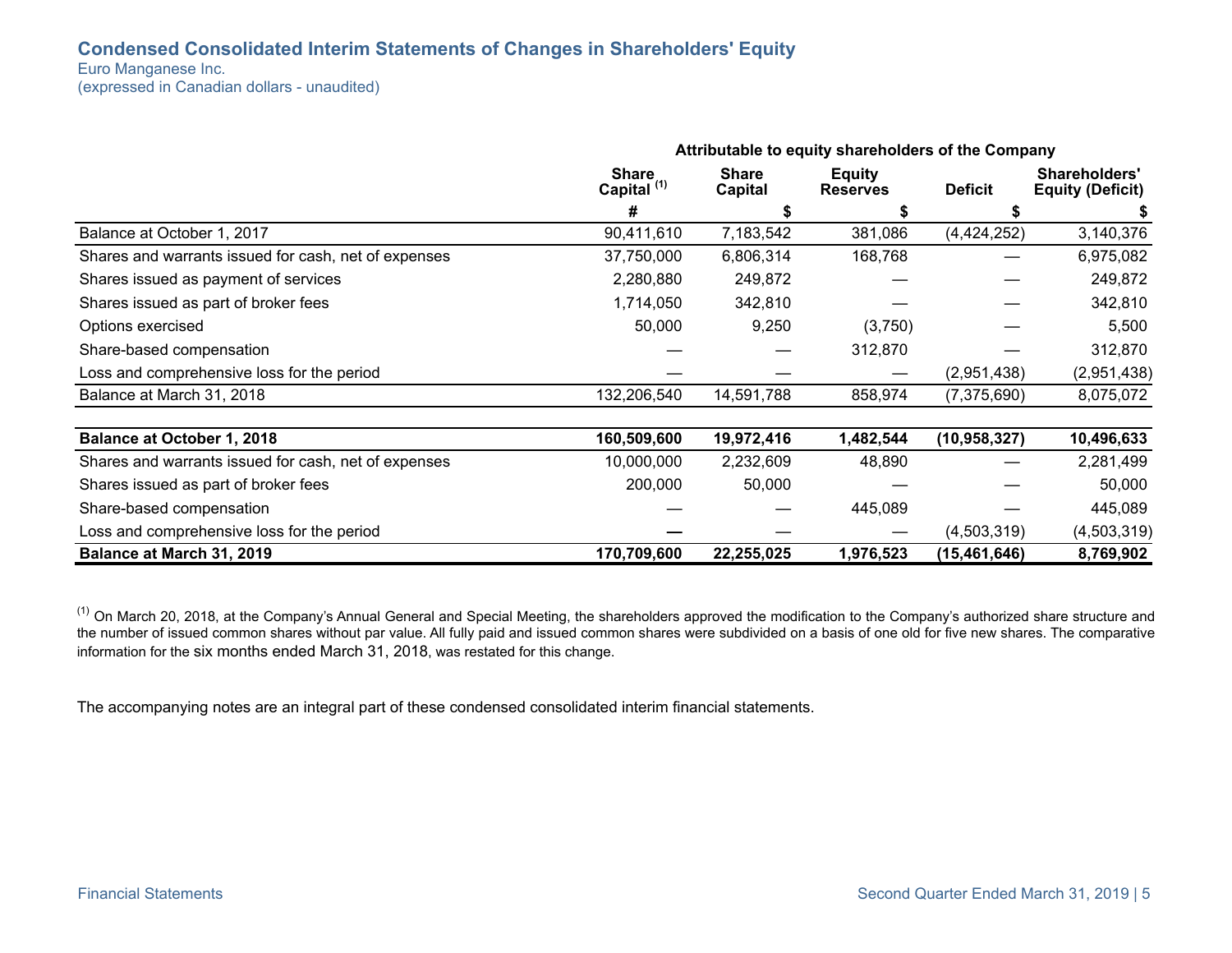#### <span id="page-4-0"></span>**Condensed Consolidated Interim Statements of Changes in Shareholders' Equity**

Euro Manganese Inc.

(expressed in Canadian dollars - unaudited)

|                                                      | Attributable to equity shareholders of the Company |                                |                                  |                |                                                 |
|------------------------------------------------------|----------------------------------------------------|--------------------------------|----------------------------------|----------------|-------------------------------------------------|
|                                                      | <b>Share</b><br>Capital <sup>(1)</sup>             | <b>Share</b><br><b>Capital</b> | <b>Equity</b><br><b>Reserves</b> |                | <b>Shareholders'</b><br><b>Equity (Deficit)</b> |
|                                                      | #                                                  |                                |                                  |                |                                                 |
| Balance at October 1, 2017                           | 90,411,610                                         | 7,183,542                      | 381,086                          | (4,424,252)    | 3,140,376                                       |
| Shares and warrants issued for cash, net of expenses | 37,750,000                                         | 6,806,314                      | 168,768                          |                | 6,975,082                                       |
| Shares issued as payment of services                 | 2,280,880                                          | 249,872                        |                                  |                | 249,872                                         |
| Shares issued as part of broker fees                 | 1,714,050                                          | 342,810                        |                                  |                | 342,810                                         |
| Options exercised                                    | 50,000                                             | 9,250                          | (3,750)                          |                | 5,500                                           |
| Share-based compensation                             |                                                    |                                | 312,870                          |                | 312,870                                         |
| Loss and comprehensive loss for the period           |                                                    |                                |                                  | (2,951,438)    | (2,951,438)                                     |
| Balance at March 31, 2018                            | 132,206,540                                        | 14,591,788                     | 858,974                          | (7,375,690)    | 8,075,072                                       |
| <b>Balance at October 1, 2018</b>                    | 160,509,600                                        | 19,972,416                     | 1,482,544                        | (10, 958, 327) | 10,496,633                                      |
| Shares and warrants issued for cash, net of expenses | 10,000,000                                         | 2,232,609                      | 48,890                           |                | 2,281,499                                       |
| Shares issued as part of broker fees                 | 200,000                                            | 50,000                         |                                  |                | 50,000                                          |
| Share-based compensation                             |                                                    |                                | 445,089                          |                | 445,089                                         |
| Loss and comprehensive loss for the period           |                                                    |                                |                                  | (4,503,319)    | (4,503,319)                                     |
| Balance at March 31, 2019                            | 170,709,600                                        | 22,255,025                     | 1,976,523                        | (15, 461, 646) | 8,769,902                                       |

 $(1)$  On March 20, 2018, at the Company's Annual General and Special Meeting, the shareholders approved the modification to the Company's authorized share structure and the number of issued common shares without par value. All fully paid and issued common shares were subdivided on a basis of one old for five new shares. The comparative information for the six months ended March 31, 2018, was restated for this change.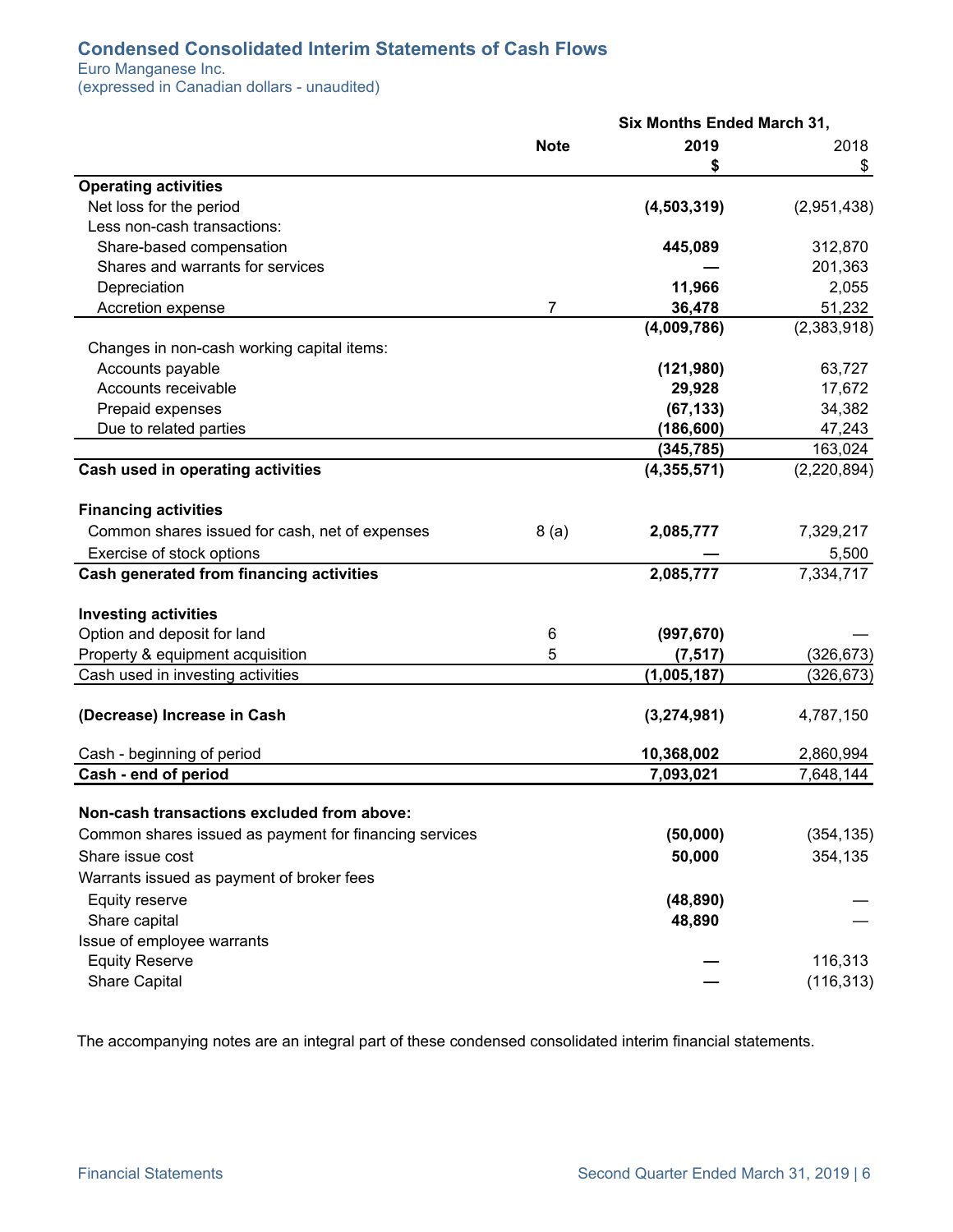## <span id="page-5-0"></span>**Condensed Consolidated Interim Statements of Cash Flows**

Euro Manganese Inc.

(expressed in Canadian dollars - unaudited)

|                                                        |                | <b>Six Months Ended March 31,</b> |             |
|--------------------------------------------------------|----------------|-----------------------------------|-------------|
|                                                        | <b>Note</b>    | 2019                              | 2018        |
|                                                        |                | S                                 | \$          |
| <b>Operating activities</b>                            |                |                                   |             |
| Net loss for the period                                |                | (4, 503, 319)                     | (2,951,438) |
| Less non-cash transactions:                            |                |                                   |             |
| Share-based compensation                               |                | 445,089                           | 312,870     |
| Shares and warrants for services                       |                |                                   | 201,363     |
| Depreciation                                           |                | 11,966                            | 2,055       |
| Accretion expense                                      | $\overline{7}$ | 36,478                            | 51,232      |
|                                                        |                | (4,009,786)                       | (2,383,918) |
| Changes in non-cash working capital items:             |                |                                   |             |
| Accounts payable                                       |                | (121, 980)                        | 63,727      |
| Accounts receivable                                    |                | 29,928                            | 17,672      |
| Prepaid expenses                                       |                | (67, 133)                         | 34,382      |
| Due to related parties                                 |                | (186, 600)                        | 47,243      |
|                                                        |                | (345, 785)                        | 163,024     |
| Cash used in operating activities                      |                | (4, 355, 571)                     | (2,220,894) |
| <b>Financing activities</b>                            |                |                                   |             |
| Common shares issued for cash, net of expenses         | 8(a)           | 2,085,777                         | 7,329,217   |
| Exercise of stock options                              |                |                                   | 5,500       |
| Cash generated from financing activities               |                | 2,085,777                         | 7,334,717   |
| <b>Investing activities</b>                            |                |                                   |             |
| Option and deposit for land                            | 6              | (997, 670)                        |             |
| Property & equipment acquisition                       | 5              | (7, 517)                          | (326, 673)  |
| Cash used in investing activities                      |                | (1,005,187)                       | (326, 673)  |
| (Decrease) Increase in Cash                            |                | (3,274,981)                       | 4,787,150   |
| Cash - beginning of period                             |                | 10,368,002                        | 2,860,994   |
| Cash - end of period                                   |                | 7,093,021                         | 7,648,144   |
|                                                        |                |                                   |             |
| Non-cash transactions excluded from above:             |                |                                   |             |
| Common shares issued as payment for financing services |                | (50,000)                          | (354, 135)  |
| Share issue cost                                       |                | 50,000                            | 354,135     |
| Warrants issued as payment of broker fees              |                |                                   |             |
| Equity reserve                                         |                | (48, 890)                         |             |
| Share capital                                          |                | 48,890                            |             |
| Issue of employee warrants                             |                |                                   |             |
| <b>Equity Reserve</b>                                  |                |                                   | 116,313     |
| <b>Share Capital</b>                                   |                |                                   | (116, 313)  |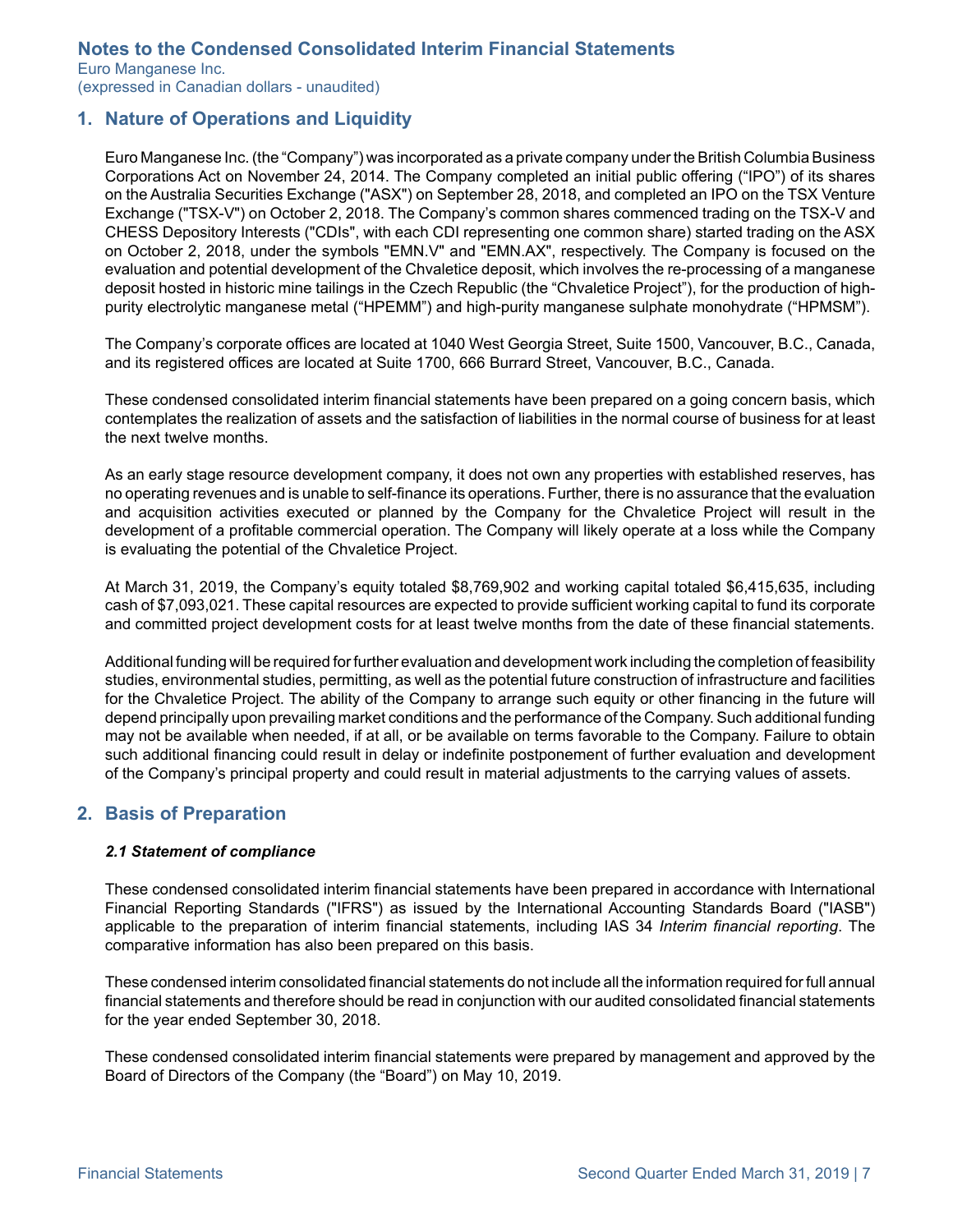<span id="page-6-0"></span>Euro Manganese Inc. (expressed in Canadian dollars - unaudited)

### **1. Nature of Operations and Liquidity**

Euro Manganese Inc. (the "Company") was incorporated as a private company under the British Columbia Business Corporations Act on November 24, 2014. The Company completed an initial public offering ("IPO") of its shares on the Australia Securities Exchange ("ASX") on September 28, 2018, and completed an IPO on the TSX Venture Exchange ("TSX-V") on October 2, 2018. The Company's common shares commenced trading on the TSX-V and CHESS Depository Interests ("CDIs", with each CDI representing one common share) started trading on the ASX on October 2, 2018, under the symbols "EMN.V" and "EMN.AX", respectively. The Company is focused on the evaluation and potential development of the Chvaletice deposit, which involves the re-processing of a manganese deposit hosted in historic mine tailings in the Czech Republic (the "Chvaletice Project"), for the production of highpurity electrolytic manganese metal ("HPEMM") and high-purity manganese sulphate monohydrate ("HPMSM").

The Company's corporate offices are located at 1040 West Georgia Street, Suite 1500, Vancouver, B.C., Canada, and its registered offices are located at Suite 1700, 666 Burrard Street, Vancouver, B.C., Canada.

These condensed consolidated interim financial statements have been prepared on a going concern basis, which contemplates the realization of assets and the satisfaction of liabilities in the normal course of business for at least the next twelve months.

As an early stage resource development company, it does not own any properties with established reserves, has no operating revenues and is unable to self-finance its operations. Further, there is no assurance that the evaluation and acquisition activities executed or planned by the Company for the Chvaletice Project will result in the development of a profitable commercial operation. The Company will likely operate at a loss while the Company is evaluating the potential of the Chvaletice Project.

At March 31, 2019, the Company's equity totaled \$8,769,902 and working capital totaled \$6,415,635, including cash of \$7,093,021. These capital resources are expected to provide sufficient working capital to fund its corporate and committed project development costs for at least twelve months from the date of these financial statements.

Additional funding will be required for further evaluation and development work including the completion of feasibility studies, environmental studies, permitting, as well as the potential future construction of infrastructure and facilities for the Chvaletice Project. The ability of the Company to arrange such equity or other financing in the future will depend principally upon prevailing market conditions and the performance of the Company. Such additional funding may not be available when needed, if at all, or be available on terms favorable to the Company. Failure to obtain such additional financing could result in delay or indefinite postponement of further evaluation and development of the Company's principal property and could result in material adjustments to the carrying values of assets.

## **2. Basis of Preparation**

#### *2.1 Statement of compliance*

These condensed consolidated interim financial statements have been prepared in accordance with International Financial Reporting Standards ("IFRS") as issued by the International Accounting Standards Board ("IASB") applicable to the preparation of interim financial statements, including IAS 34 *Interim financial reporting*. The comparative information has also been prepared on this basis.

These condensed interim consolidated financial statements do not include all the information required for full annual financial statements and therefore should be read in conjunction with our audited consolidated financial statements for the year ended September 30, 2018.

These condensed consolidated interim financial statements were prepared by management and approved by the Board of Directors of the Company (the "Board") on May 10, 2019.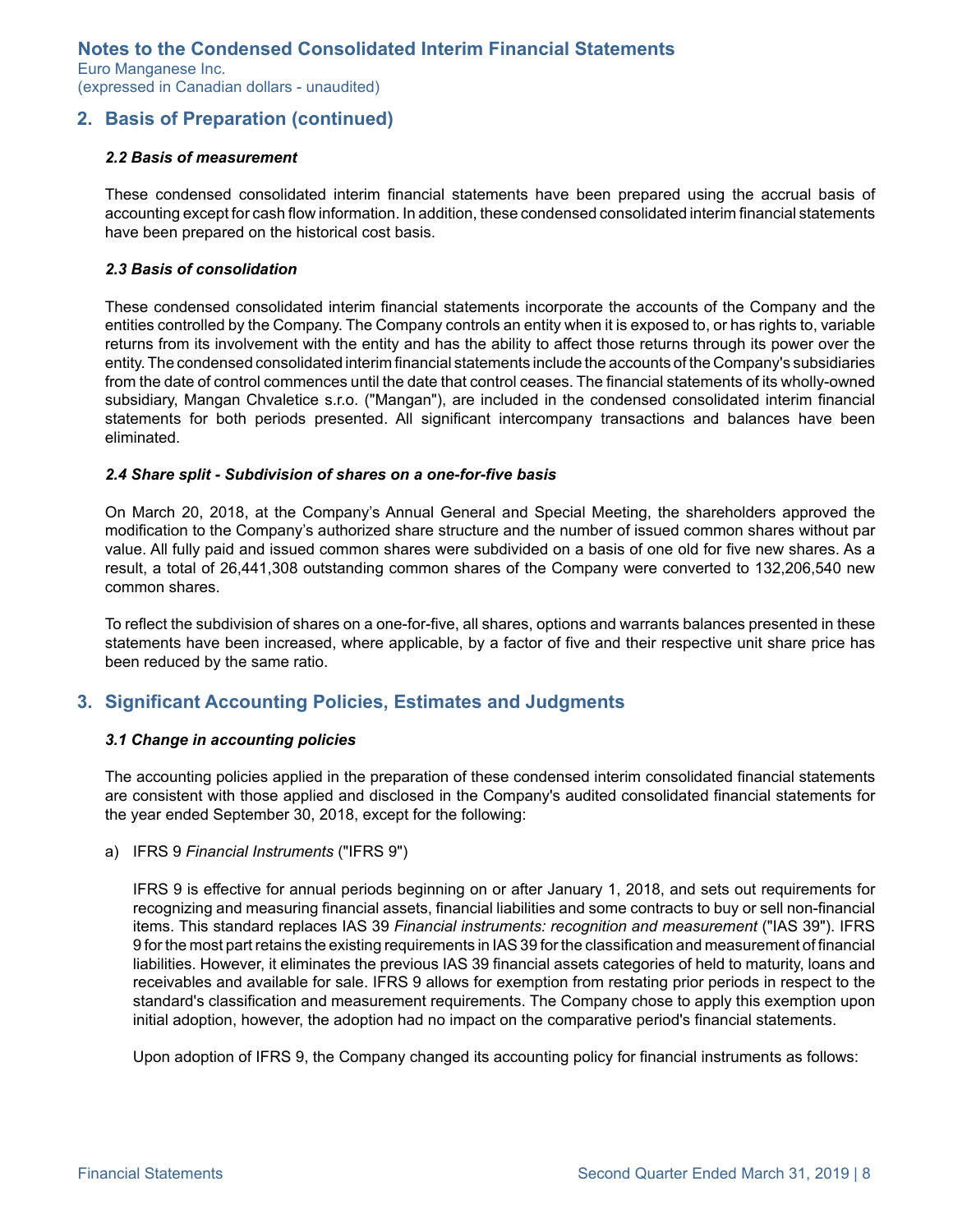<span id="page-7-0"></span>Euro Manganese Inc. (expressed in Canadian dollars - unaudited)

## **2. Basis of Preparation (continued)**

#### *2.2 Basis of measurement*

These condensed consolidated interim financial statements have been prepared using the accrual basis of accounting except for cash flow information. In addition, these condensed consolidated interim financial statements have been prepared on the historical cost basis.

#### *2.3 Basis of consolidation*

These condensed consolidated interim financial statements incorporate the accounts of the Company and the entities controlled by the Company. The Company controls an entity when it is exposed to, or has rights to, variable returns from its involvement with the entity and has the ability to affect those returns through its power over the entity. The condensed consolidated interim financial statements include the accounts of the Company's subsidiaries from the date of control commences until the date that control ceases. The financial statements of its wholly-owned subsidiary, Mangan Chvaletice s.r.o. ("Mangan"), are included in the condensed consolidated interim financial statements for both periods presented. All significant intercompany transactions and balances have been eliminated.

#### *2.4 Share split - Subdivision of shares on a one-for-five basis*

On March 20, 2018, at the Company's Annual General and Special Meeting, the shareholders approved the modification to the Company's authorized share structure and the number of issued common shares without par value. All fully paid and issued common shares were subdivided on a basis of one old for five new shares. As a result, a total of 26,441,308 outstanding common shares of the Company were converted to 132,206,540 new common shares.

To reflect the subdivision of shares on a one-for-five, all shares, options and warrants balances presented in these statements have been increased, where applicable, by a factor of five and their respective unit share price has been reduced by the same ratio.

#### **3. Significant Accounting Policies, Estimates and Judgments**

#### *3.1 Change in accounting policies*

The accounting policies applied in the preparation of these condensed interim consolidated financial statements are consistent with those applied and disclosed in the Company's audited consolidated financial statements for the year ended September 30, 2018, except for the following:

a) IFRS 9 *Financial Instruments* ("IFRS 9")

IFRS 9 is effective for annual periods beginning on or after January 1, 2018, and sets out requirements for recognizing and measuring financial assets, financial liabilities and some contracts to buy or sell non-financial items. This standard replaces IAS 39 *Financial instruments: recognition and measurement* ("IAS 39"). IFRS 9 for the most part retains the existing requirements in IAS 39 for the classification and measurement of financial liabilities. However, it eliminates the previous IAS 39 financial assets categories of held to maturity, loans and receivables and available for sale. IFRS 9 allows for exemption from restating prior periods in respect to the standard's classification and measurement requirements. The Company chose to apply this exemption upon initial adoption, however, the adoption had no impact on the comparative period's financial statements.

Upon adoption of IFRS 9, the Company changed its accounting policy for financial instruments as follows: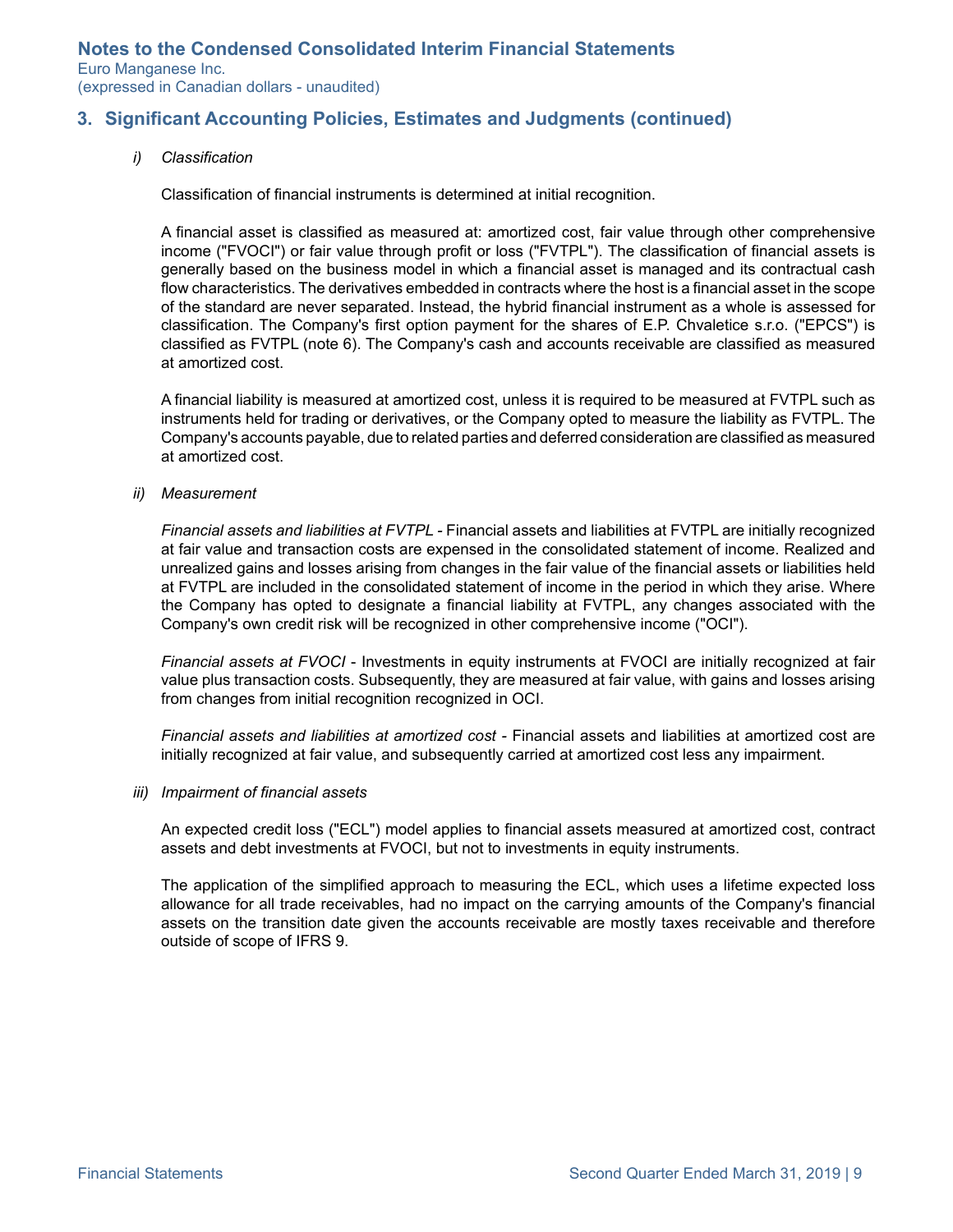Euro Manganese Inc. (expressed in Canadian dollars - unaudited)

## **3. Significant Accounting Policies, Estimates and Judgments (continued)**

*i) Classification*

Classification of financial instruments is determined at initial recognition.

A financial asset is classified as measured at: amortized cost, fair value through other comprehensive income ("FVOCI") or fair value through profit or loss ("FVTPL"). The classification of financial assets is generally based on the business model in which a financial asset is managed and its contractual cash flow characteristics. The derivatives embedded in contracts where the host is a financial asset in the scope of the standard are never separated. Instead, the hybrid financial instrument as a whole is assessed for classification. The Company's first option payment for the shares of E.P. Chvaletice s.r.o. ("EPCS") is classified as FVTPL (note 6). The Company's cash and accounts receivable are classified as measured at amortized cost.

A financial liability is measured at amortized cost, unless it is required to be measured at FVTPL such as instruments held for trading or derivatives, or the Company opted to measure the liability as FVTPL. The Company's accounts payable, due to related parties and deferred consideration are classified as measured at amortized cost.

*ii) Measurement*

*Financial assets and liabilities at FVTPL -* Financial assets and liabilities at FVTPL are initially recognized at fair value and transaction costs are expensed in the consolidated statement of income. Realized and unrealized gains and losses arising from changes in the fair value of the financial assets or liabilities held at FVTPL are included in the consolidated statement of income in the period in which they arise. Where the Company has opted to designate a financial liability at FVTPL, any changes associated with the Company's own credit risk will be recognized in other comprehensive income ("OCI").

*Financial assets at FVOCI* - Investments in equity instruments at FVOCI are initially recognized at fair value plus transaction costs. Subsequently, they are measured at fair value, with gains and losses arising from changes from initial recognition recognized in OCI.

*Financial assets and liabilities at amortized cost -* Financial assets and liabilities at amortized cost are initially recognized at fair value, and subsequently carried at amortized cost less any impairment.

#### *iii) Impairment of financial assets*

An expected credit loss ("ECL") model applies to financial assets measured at amortized cost, contract assets and debt investments at FVOCI, but not to investments in equity instruments.

The application of the simplified approach to measuring the ECL, which uses a lifetime expected loss allowance for all trade receivables, had no impact on the carrying amounts of the Company's financial assets on the transition date given the accounts receivable are mostly taxes receivable and therefore outside of scope of IFRS 9.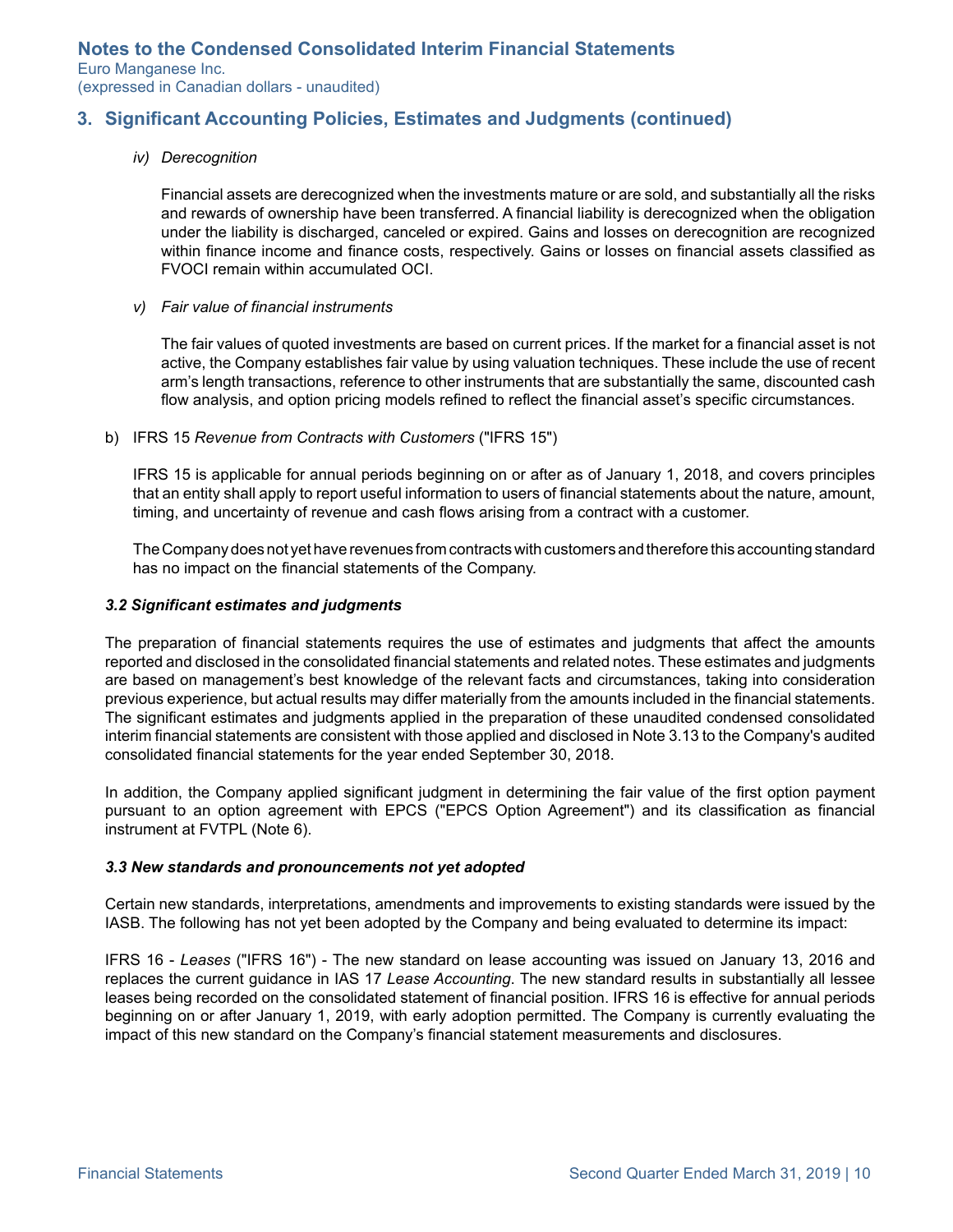<span id="page-9-0"></span>Euro Manganese Inc. (expressed in Canadian dollars - unaudited)

## **3. Significant Accounting Policies, Estimates and Judgments (continued)**

#### *iv) Derecognition*

Financial assets are derecognized when the investments mature or are sold, and substantially all the risks and rewards of ownership have been transferred. A financial liability is derecognized when the obligation under the liability is discharged, canceled or expired. Gains and losses on derecognition are recognized within finance income and finance costs, respectively. Gains or losses on financial assets classified as FVOCI remain within accumulated OCI.

*v) Fair value of financial instruments*

The fair values of quoted investments are based on current prices. If the market for a financial asset is not active, the Company establishes fair value by using valuation techniques. These include the use of recent arm's length transactions, reference to other instruments that are substantially the same, discounted cash flow analysis, and option pricing models refined to reflect the financial asset's specific circumstances.

b) IFRS 15 *Revenue from Contracts with Customers* ("IFRS 15")

IFRS 15 is applicable for annual periods beginning on or after as of January 1, 2018, and covers principles that an entity shall apply to report useful information to users of financial statements about the nature, amount, timing, and uncertainty of revenue and cash flows arising from a contract with a customer.

The Company does not yet have revenues from contracts with customers and therefore this accounting standard has no impact on the financial statements of the Company.

#### *3.2 Significant estimates and judgments*

The preparation of financial statements requires the use of estimates and judgments that affect the amounts reported and disclosed in the consolidated financial statements and related notes. These estimates and judgments are based on management's best knowledge of the relevant facts and circumstances, taking into consideration previous experience, but actual results may differ materially from the amounts included in the financial statements. The significant estimates and judgments applied in the preparation of these unaudited condensed consolidated interim financial statements are consistent with those applied and disclosed in Note 3.13 to the Company's audited consolidated financial statements for the year ended September 30, 2018.

In addition, the Company applied significant judgment in determining the fair value of the first option payment pursuant to an option agreement with EPCS ("EPCS Option Agreement") and its classification as financial instrument at FVTPL (Note 6).

#### *3.3 New standards and pronouncements not yet adopted*

Certain new standards, interpretations, amendments and improvements to existing standards were issued by the IASB. The following has not yet been adopted by the Company and being evaluated to determine its impact:

IFRS 16 - *Leases* ("IFRS 16") - The new standard on lease accounting was issued on January 13, 2016 and replaces the current guidance in IAS 17 *Lease Accounting*. The new standard results in substantially all lessee leases being recorded on the consolidated statement of financial position. IFRS 16 is effective for annual periods beginning on or after January 1, 2019, with early adoption permitted. The Company is currently evaluating the impact of this new standard on the Company's financial statement measurements and disclosures.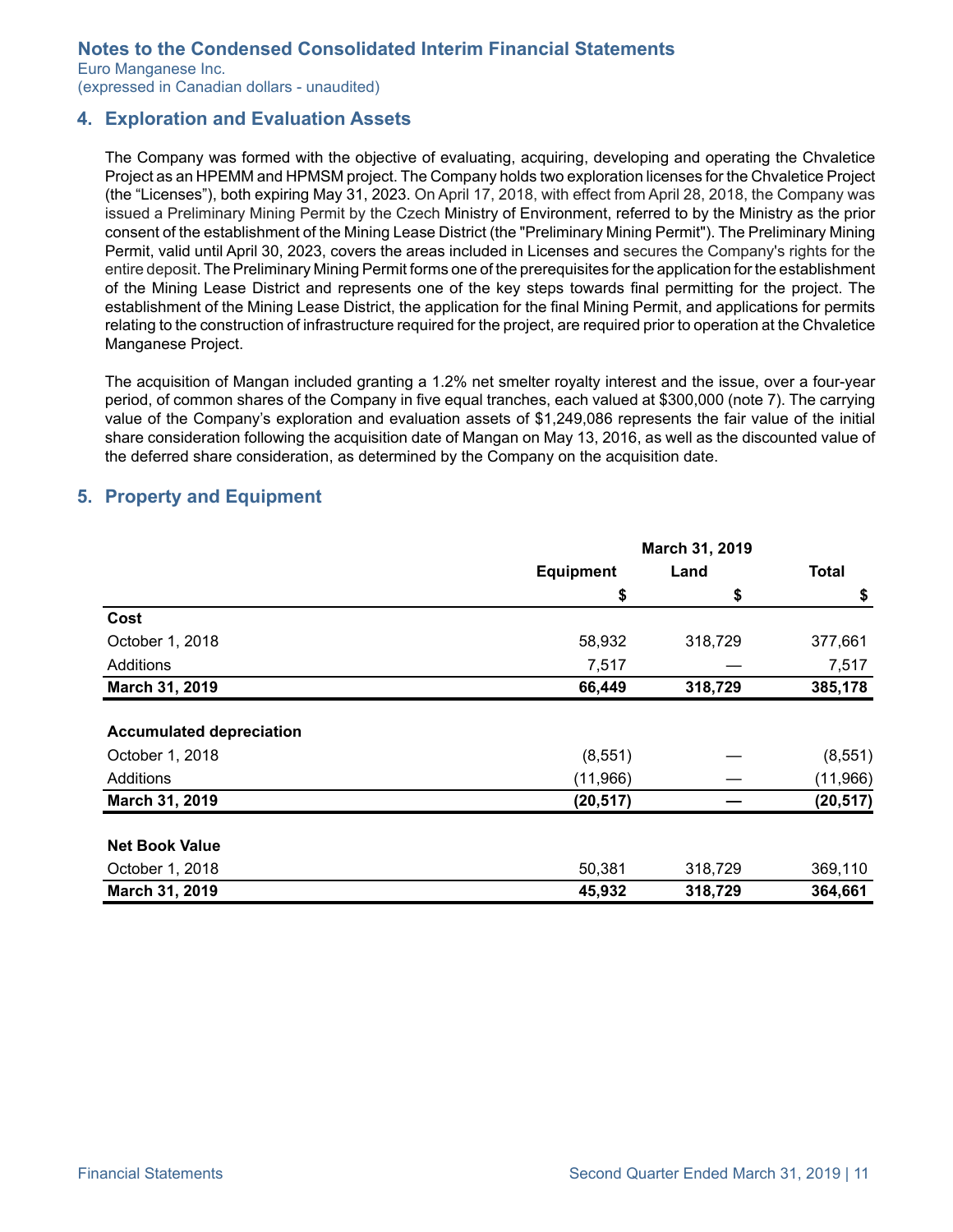<span id="page-10-0"></span>Euro Manganese Inc. (expressed in Canadian dollars - unaudited)

## **4. Exploration and Evaluation Assets**

The Company was formed with the objective of evaluating, acquiring, developing and operating the Chvaletice Project as an HPEMM and HPMSM project. The Company holds two exploration licenses for the Chvaletice Project (the "Licenses"), both expiring May 31, 2023. On April 17, 2018, with effect from April 28, 2018, the Company was issued a Preliminary Mining Permit by the Czech Ministry of Environment, referred to by the Ministry as the prior consent of the establishment of the Mining Lease District (the "Preliminary Mining Permit"). The Preliminary Mining Permit, valid until April 30, 2023, covers the areas included in Licenses and secures the Company's rights for the entire deposit. The Preliminary Mining Permit forms one of the prerequisites for the application for the establishment of the Mining Lease District and represents one of the key steps towards final permitting for the project. The establishment of the Mining Lease District, the application for the final Mining Permit, and applications for permits relating to the construction of infrastructure required for the project, are required prior to operation at the Chvaletice Manganese Project.

The acquisition of Mangan included granting a 1.2% net smelter royalty interest and the issue, over a four-year period, of common shares of the Company in five equal tranches, each valued at \$300,000 (note 7). The carrying value of the Company's exploration and evaluation assets of \$1,249,086 represents the fair value of the initial share consideration following the acquisition date of Mangan on May 13, 2016, as well as the discounted value of the deferred share consideration, as determined by the Company on the acquisition date.

### **5. Property and Equipment**

|                                 | March 31, 2019   |         |              |  |
|---------------------------------|------------------|---------|--------------|--|
|                                 | <b>Equipment</b> | Land    | <b>Total</b> |  |
|                                 | \$               | \$      | \$           |  |
| Cost                            |                  |         |              |  |
| October 1, 2018                 | 58,932           | 318,729 | 377,661      |  |
| Additions                       | 7,517            |         | 7,517        |  |
| March 31, 2019                  | 66,449           | 318,729 | 385,178      |  |
|                                 |                  |         |              |  |
| <b>Accumulated depreciation</b> |                  |         |              |  |
| October 1, 2018                 | (8, 551)         |         | (8, 551)     |  |
| Additions                       | (11,966)         |         | (11, 966)    |  |
| March 31, 2019                  | (20, 517)        |         | (20, 517)    |  |
|                                 |                  |         |              |  |
| <b>Net Book Value</b>           |                  |         |              |  |
| October 1, 2018                 | 50,381           | 318,729 | 369,110      |  |
| March 31, 2019                  | 45,932           | 318,729 | 364,661      |  |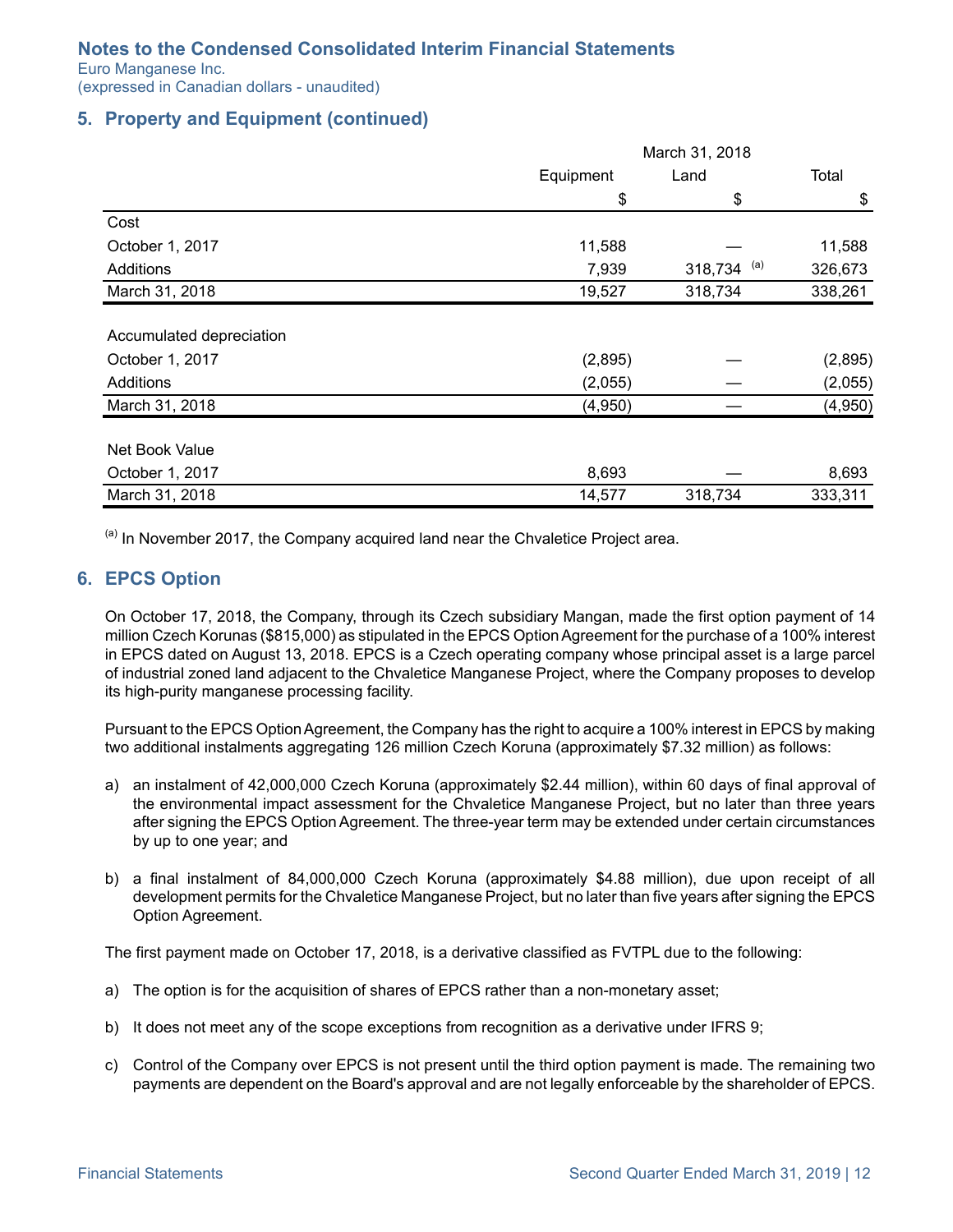<span id="page-11-0"></span>Euro Manganese Inc.

(expressed in Canadian dollars - unaudited)

## **5. Property and Equipment (continued)**

|                          | March 31, 2018 |                |         |  |
|--------------------------|----------------|----------------|---------|--|
|                          | Equipment      | Land           | Total   |  |
|                          | \$             | \$             | \$      |  |
| Cost                     |                |                |         |  |
| October 1, 2017          | 11,588         |                | 11,588  |  |
| Additions                | 7,939          | (a)<br>318,734 | 326,673 |  |
| March 31, 2018           | 19,527         | 318,734        | 338,261 |  |
|                          |                |                |         |  |
| Accumulated depreciation |                |                |         |  |
| October 1, 2017          | (2,895)        |                | (2,895) |  |
| Additions                | (2,055)        |                | (2,055) |  |
| March 31, 2018           | (4,950)        |                | (4,950) |  |
|                          |                |                |         |  |
| Net Book Value           |                |                |         |  |
| October 1, 2017          | 8,693          |                | 8,693   |  |
| March 31, 2018           | 14,577         | 318,734        | 333,311 |  |

 $<sup>(a)</sup>$  In November 2017, the Company acquired land near the Chvaletice Project area.</sup>

#### **6. EPCS Option**

On October 17, 2018, the Company, through its Czech subsidiary Mangan, made the first option payment of 14 million Czech Korunas (\$815,000) as stipulated in the EPCS Option Agreement for the purchase of a 100% interest in EPCS dated on August 13, 2018. EPCS is a Czech operating company whose principal asset is a large parcel of industrial zoned land adjacent to the Chvaletice Manganese Project, where the Company proposes to develop its high-purity manganese processing facility.

Pursuant to the EPCS Option Agreement, the Company has the right to acquire a 100% interest in EPCS by making two additional instalments aggregating 126 million Czech Koruna (approximately \$7.32 million) as follows:

- a) an instalment of 42,000,000 Czech Koruna (approximately \$2.44 million), within 60 days of final approval of the environmental impact assessment for the Chvaletice Manganese Project, but no later than three years after signing the EPCS Option Agreement. The three-year term may be extended under certain circumstances by up to one year; and
- b) a final instalment of 84,000,000 Czech Koruna (approximately \$4.88 million), due upon receipt of all development permits for the Chvaletice Manganese Project, but no later than five years after signing the EPCS Option Agreement.

The first payment made on October 17, 2018, is a derivative classified as FVTPL due to the following:

- a) The option is for the acquisition of shares of EPCS rather than a non-monetary asset;
- b) It does not meet any of the scope exceptions from recognition as a derivative under IFRS 9;
- c) Control of the Company over EPCS is not present until the third option payment is made. The remaining two payments are dependent on the Board's approval and are not legally enforceable by the shareholder of EPCS.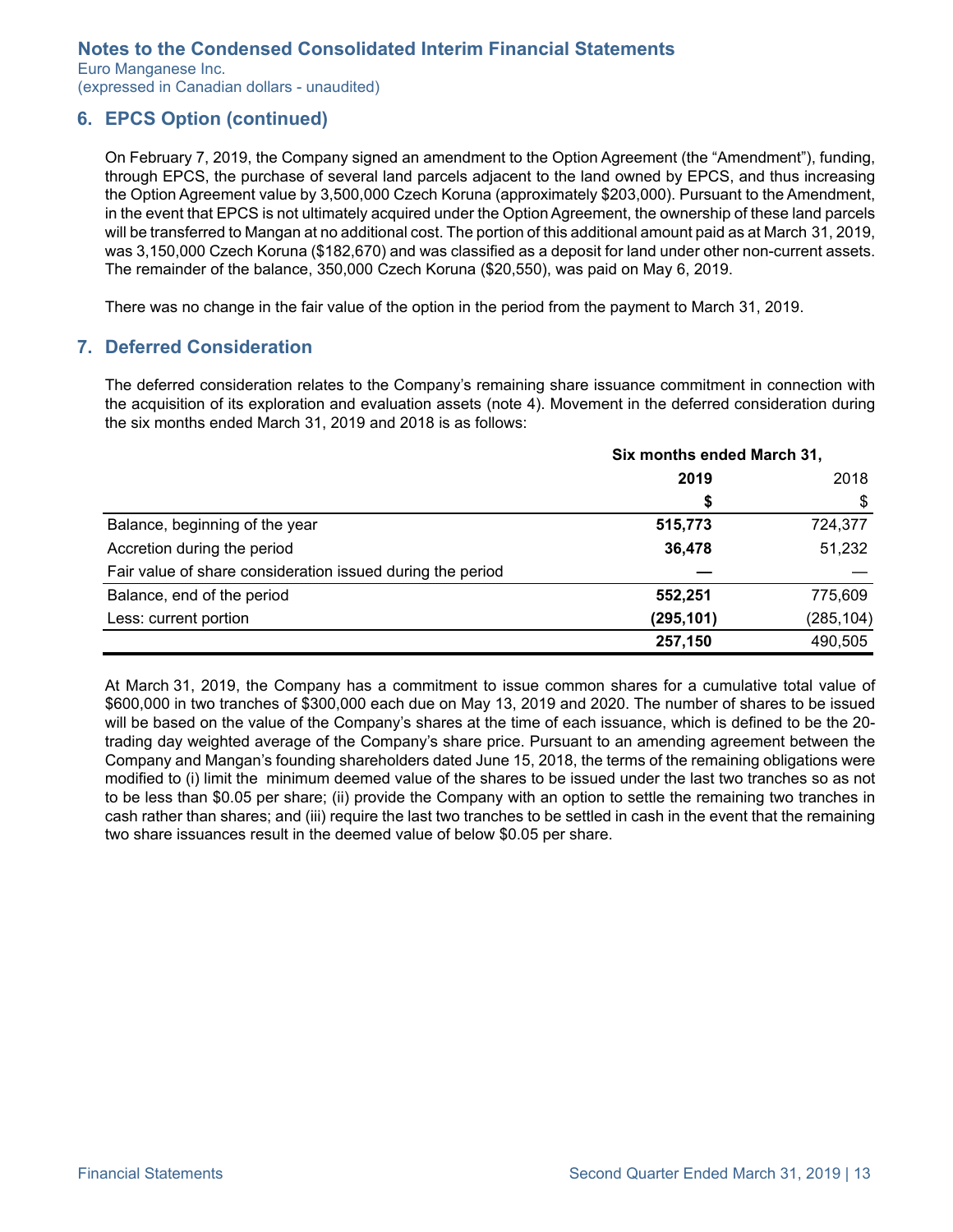<span id="page-12-0"></span>Euro Manganese Inc. (expressed in Canadian dollars - unaudited)

### **6. EPCS Option (continued)**

On February 7, 2019, the Company signed an amendment to the Option Agreement (the "Amendment"), funding, through EPCS, the purchase of several land parcels adjacent to the land owned by EPCS, and thus increasing the Option Agreement value by 3,500,000 Czech Koruna (approximately \$203,000). Pursuant to the Amendment, in the event that EPCS is not ultimately acquired under the Option Agreement, the ownership of these land parcels will be transferred to Mangan at no additional cost. The portion of this additional amount paid as at March 31, 2019, was 3,150,000 Czech Koruna (\$182,670) and was classified as a deposit for land under other non-current assets. The remainder of the balance, 350,000 Czech Koruna (\$20,550), was paid on May 6, 2019.

There was no change in the fair value of the option in the period from the payment to March 31, 2019.

### **7. Deferred Consideration**

The deferred consideration relates to the Company's remaining share issuance commitment in connection with the acquisition of its exploration and evaluation assets (note 4). Movement in the deferred consideration during the six months ended March 31, 2019 and 2018 is as follows:

|                                                            | Six months ended March 31, |            |  |
|------------------------------------------------------------|----------------------------|------------|--|
|                                                            | 2019                       | 2018       |  |
|                                                            | \$                         | \$         |  |
| Balance, beginning of the year                             | 515,773                    | 724,377    |  |
| Accretion during the period                                | 36,478                     | 51,232     |  |
| Fair value of share consideration issued during the period |                            |            |  |
| Balance, end of the period                                 | 552,251                    | 775,609    |  |
| Less: current portion                                      | (295, 101)                 | (285, 104) |  |
|                                                            | 257,150                    | 490,505    |  |

At March 31, 2019, the Company has a commitment to issue common shares for a cumulative total value of \$600,000 in two tranches of \$300,000 each due on May 13, 2019 and 2020. The number of shares to be issued will be based on the value of the Company's shares at the time of each issuance, which is defined to be the 20 trading day weighted average of the Company's share price. Pursuant to an amending agreement between the Company and Mangan's founding shareholders dated June 15, 2018, the terms of the remaining obligations were modified to (i) limit the minimum deemed value of the shares to be issued under the last two tranches so as not to be less than \$0.05 per share; (ii) provide the Company with an option to settle the remaining two tranches in cash rather than shares; and (iii) require the last two tranches to be settled in cash in the event that the remaining two share issuances result in the deemed value of below \$0.05 per share.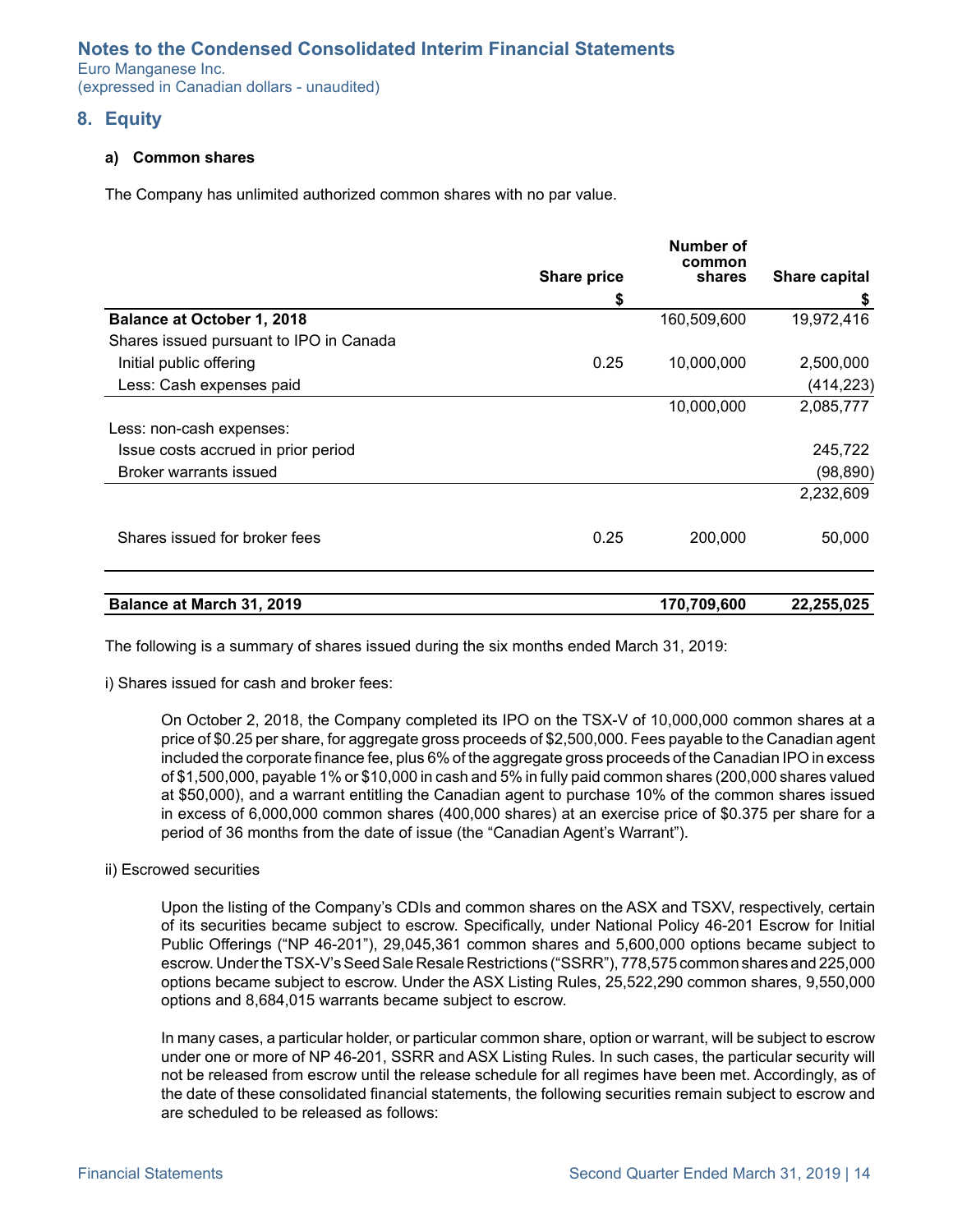<span id="page-13-0"></span>Euro Manganese Inc. (expressed in Canadian dollars - unaudited)

#### **8. Equity**

#### **a) Common shares**

The Company has unlimited authorized common shares with no par value.

|                                         |                    | Number of<br>common |               |
|-----------------------------------------|--------------------|---------------------|---------------|
|                                         | <b>Share price</b> | shares              | Share capital |
|                                         | \$                 |                     | \$            |
| <b>Balance at October 1, 2018</b>       |                    | 160,509,600         | 19,972,416    |
| Shares issued pursuant to IPO in Canada |                    |                     |               |
| Initial public offering                 | 0.25               | 10,000,000          | 2,500,000     |
| Less: Cash expenses paid                |                    |                     | (414, 223)    |
|                                         |                    | 10,000,000          | 2,085,777     |
| Less: non-cash expenses:                |                    |                     |               |
| Issue costs accrued in prior period     |                    |                     | 245,722       |
| Broker warrants issued                  |                    |                     | (98, 890)     |
|                                         |                    |                     | 2,232,609     |
| Shares issued for broker fees           | 0.25               | 200,000             | 50,000        |
| Balance at March 31, 2019               |                    | 170,709,600         |               |
|                                         |                    |                     | 22,255,025    |

The following is a summary of shares issued during the six months ended March 31, 2019:

i) Shares issued for cash and broker fees:

On October 2, 2018, the Company completed its IPO on the TSX-V of 10,000,000 common shares at a price of \$0.25 per share, for aggregate gross proceeds of \$2,500,000. Fees payable to the Canadian agent included the corporate finance fee, plus 6% of the aggregate gross proceeds of the Canadian IPO in excess of \$1,500,000, payable 1% or \$10,000 in cash and 5% in fully paid common shares (200,000 shares valued at \$50,000), and a warrant entitling the Canadian agent to purchase 10% of the common shares issued in excess of 6,000,000 common shares (400,000 shares) at an exercise price of \$0.375 per share for a period of 36 months from the date of issue (the "Canadian Agent's Warrant").

#### ii) Escrowed securities

Upon the listing of the Company's CDIs and common shares on the ASX and TSXV, respectively, certain of its securities became subject to escrow. Specifically, under National Policy 46-201 Escrow for Initial Public Offerings ("NP 46-201"), 29,045,361 common shares and 5,600,000 options became subject to escrow. Under the TSX-V's Seed Sale Resale Restrictions ("SSRR"), 778,575 common shares and 225,000 options became subject to escrow. Under the ASX Listing Rules, 25,522,290 common shares, 9,550,000 options and 8,684,015 warrants became subject to escrow.

In many cases, a particular holder, or particular common share, option or warrant, will be subject to escrow under one or more of NP 46-201, SSRR and ASX Listing Rules. In such cases, the particular security will not be released from escrow until the release schedule for all regimes have been met. Accordingly, as of the date of these consolidated financial statements, the following securities remain subject to escrow and are scheduled to be released as follows: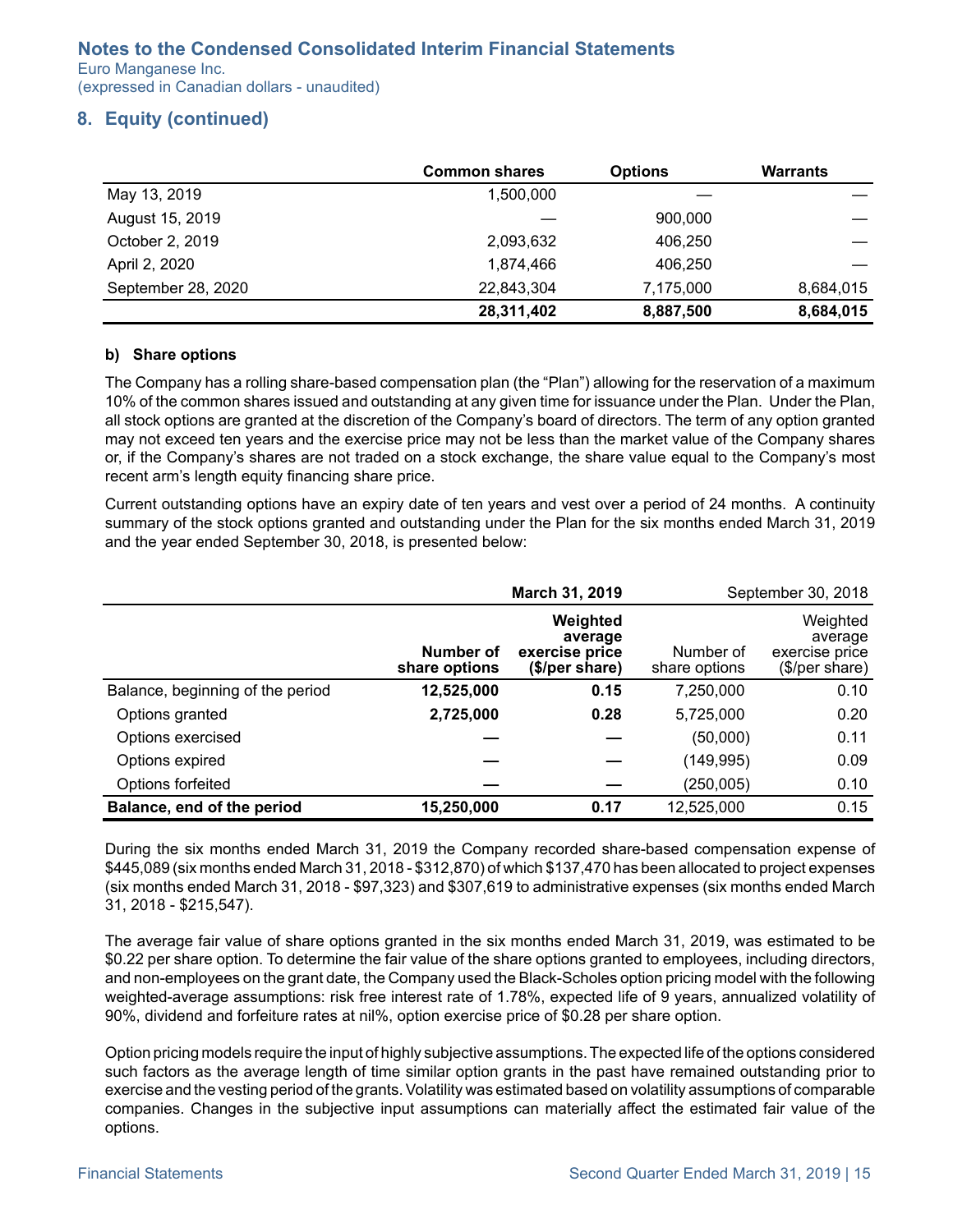Euro Manganese Inc. (expressed in Canadian dollars - unaudited)

## **8. Equity (continued)**

|                    | <b>Common shares</b> | <b>Options</b> | <b>Warrants</b> |
|--------------------|----------------------|----------------|-----------------|
| May 13, 2019       | 1,500,000            |                |                 |
| August 15, 2019    |                      | 900,000        |                 |
| October 2, 2019    | 2,093,632            | 406,250        |                 |
| April 2, 2020      | 1.874.466            | 406.250        |                 |
| September 28, 2020 | 22,843,304           | 7,175,000      | 8,684,015       |
|                    | 28,311,402           | 8,887,500      | 8,684,015       |

#### **b) Share options**

The Company has a rolling share-based compensation plan (the "Plan") allowing for the reservation of a maximum 10% of the common shares issued and outstanding at any given time for issuance under the Plan. Under the Plan, all stock options are granted at the discretion of the Company's board of directors. The term of any option granted may not exceed ten years and the exercise price may not be less than the market value of the Company shares or, if the Company's shares are not traded on a stock exchange, the share value equal to the Company's most recent arm's length equity financing share price.

Current outstanding options have an expiry date of ten years and vest over a period of 24 months. A continuity summary of the stock options granted and outstanding under the Plan for the six months ended March 31, 2019 and the year ended September 30, 2018, is presented below:

|                                  |                            | March 31, 2019                                          |                            | September 30, 2018                                      |
|----------------------------------|----------------------------|---------------------------------------------------------|----------------------------|---------------------------------------------------------|
|                                  | Number of<br>share options | Weighted<br>average<br>exercise price<br>(\$/per share) | Number of<br>share options | Weighted<br>average<br>exercise price<br>(\$/per share) |
| Balance, beginning of the period | 12,525,000                 | 0.15                                                    | 7,250,000                  | 0.10                                                    |
| Options granted                  | 2,725,000                  | 0.28                                                    | 5,725,000                  | 0.20                                                    |
| Options exercised                |                            |                                                         | (50,000)                   | 0.11                                                    |
| Options expired                  |                            |                                                         | (149, 995)                 | 0.09                                                    |
| Options forfeited                |                            |                                                         | (250, 005)                 | 0.10                                                    |
| Balance, end of the period       | 15,250,000                 | 0.17                                                    | 12,525,000                 | 0.15                                                    |

During the six months ended March 31, 2019 the Company recorded share-based compensation expense of \$445,089 (six months ended March 31, 2018 - \$312,870) of which \$137,470 has been allocated to project expenses (six months ended March 31, 2018 - \$97,323) and \$307,619 to administrative expenses (six months ended March 31, 2018 - \$215,547).

The average fair value of share options granted in the six months ended March 31, 2019, was estimated to be \$0.22 per share option. To determine the fair value of the share options granted to employees, including directors, and non-employees on the grant date, the Company used the Black-Scholes option pricing model with the following weighted-average assumptions: risk free interest rate of 1.78%, expected life of 9 years, annualized volatility of 90%, dividend and forfeiture rates at nil%, option exercise price of \$0.28 per share option.

Option pricing models require the input of highly subjective assumptions. The expected life of the options considered such factors as the average length of time similar option grants in the past have remained outstanding prior to exercise and the vesting period of the grants. Volatility was estimated based on volatility assumptions of comparable companies. Changes in the subjective input assumptions can materially affect the estimated fair value of the options.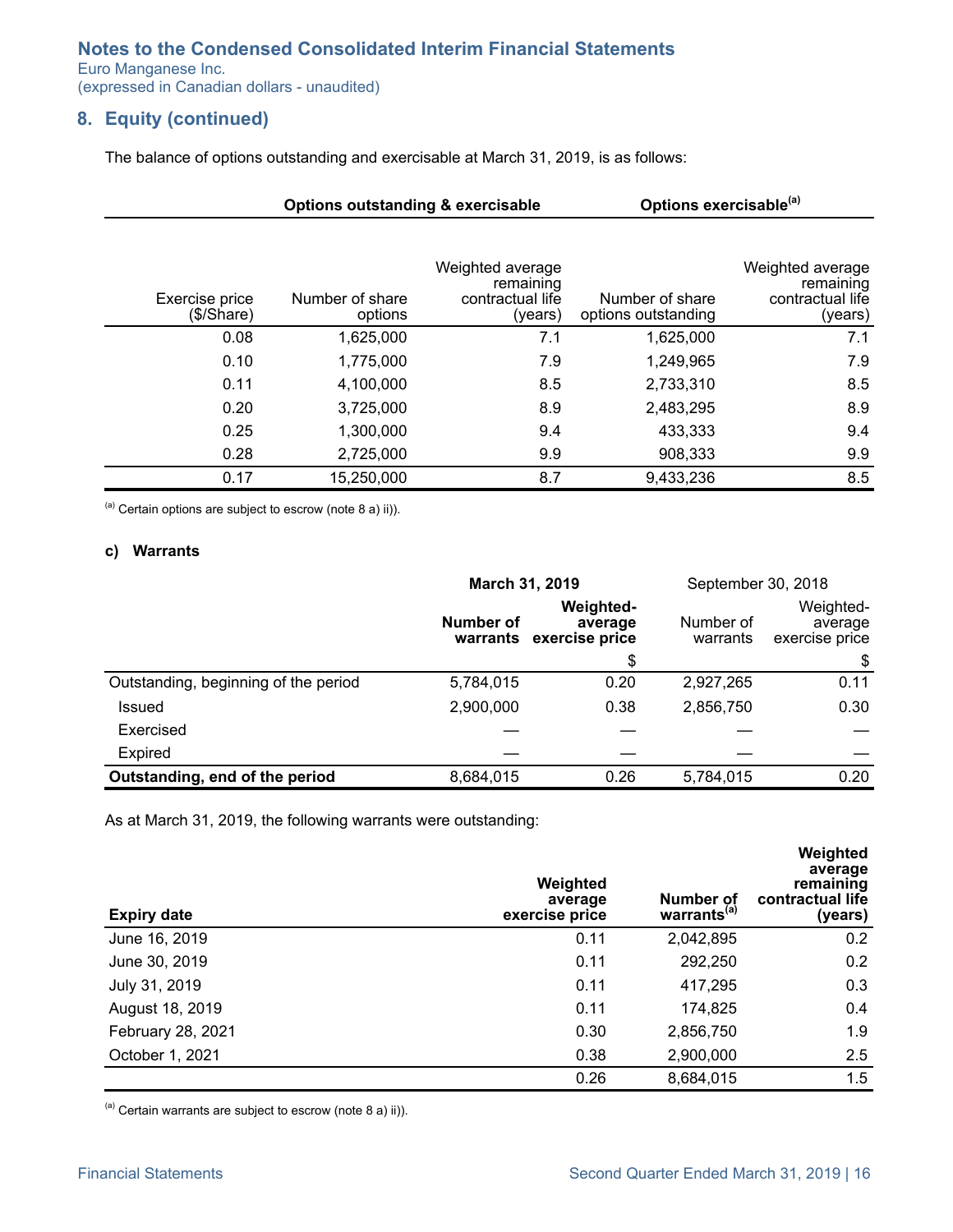Euro Manganese Inc.

(expressed in Canadian dollars - unaudited)

## **8. Equity (continued)**

The balance of options outstanding and exercisable at March 31, 2019, is as follows:

|                              | <b>Options outstanding &amp; exercisable</b> |                                                              | Options exercisable <sup>(a)</sup>     |                                                              |
|------------------------------|----------------------------------------------|--------------------------------------------------------------|----------------------------------------|--------------------------------------------------------------|
| Exercise price<br>(\$/Share) | Number of share<br>options                   | Weighted average<br>remaining<br>contractual life<br>(years) | Number of share<br>options outstanding | Weighted average<br>remaining<br>contractual life<br>(years) |
| 0.08                         | 1,625,000                                    | 7.1                                                          | 1,625,000                              | 7.1                                                          |
| 0.10                         | 1,775,000                                    | 7.9                                                          | 1,249,965                              | 7.9                                                          |
| 0.11                         | 4,100,000                                    | 8.5                                                          | 2,733,310                              | 8.5                                                          |
| 0.20                         | 3,725,000                                    | 8.9                                                          | 2,483,295                              | 8.9                                                          |
| 0.25                         | 1,300,000                                    | 9.4                                                          | 433,333                                | 9.4                                                          |
| 0.28                         | 2,725,000                                    | 9.9                                                          | 908,333                                | 9.9                                                          |
| 0.17                         | 15,250,000                                   | 8.7                                                          | 9,433,236                              | 8.5                                                          |

 $(2)$  Certain options are subject to escrow (note 8 a) ii)).

#### **c) Warrants**

|                                      | March 31, 2019   |                                                        | September 30, 2018    |                                        |
|--------------------------------------|------------------|--------------------------------------------------------|-----------------------|----------------------------------------|
|                                      | <b>Number of</b> | <b>Weighted-</b><br>average<br>warrants exercise price | Number of<br>warrants | Weighted-<br>average<br>exercise price |
|                                      |                  | \$                                                     |                       | \$                                     |
| Outstanding, beginning of the period | 5,784,015        | 0.20                                                   | 2,927,265             | 0.11                                   |
| Issued                               | 2,900,000        | 0.38                                                   | 2,856,750             | 0.30                                   |
| Exercised                            |                  |                                                        |                       |                                        |
| <b>Expired</b>                       |                  |                                                        |                       |                                        |
| Outstanding, end of the period       | 8,684,015        | 0.26                                                   | 5,784,015             | 0.20                                   |

As at March 31, 2019, the following warrants were outstanding:

| <b>Expiry date</b> | Weighted<br>average<br>exercise price | Number of<br>warrants <sup>(a)</sup> | Weighted<br>average<br>remaining<br>contractual life<br>(years) |
|--------------------|---------------------------------------|--------------------------------------|-----------------------------------------------------------------|
| June 16, 2019      | 0.11                                  | 2,042,895                            | 0.2                                                             |
| June 30, 2019      | 0.11                                  | 292,250                              | 0.2                                                             |
| July 31, 2019      | 0.11                                  | 417,295                              | 0.3                                                             |
| August 18, 2019    | 0.11                                  | 174,825                              | 0.4                                                             |
| February 28, 2021  | 0.30                                  | 2,856,750                            | 1.9                                                             |
| October 1, 2021    | 0.38                                  | 2,900,000                            | 2.5                                                             |
|                    | 0.26                                  | 8,684,015                            | 1.5                                                             |

 $(a)$  Certain warrants are subject to escrow (note 8 a) ii)).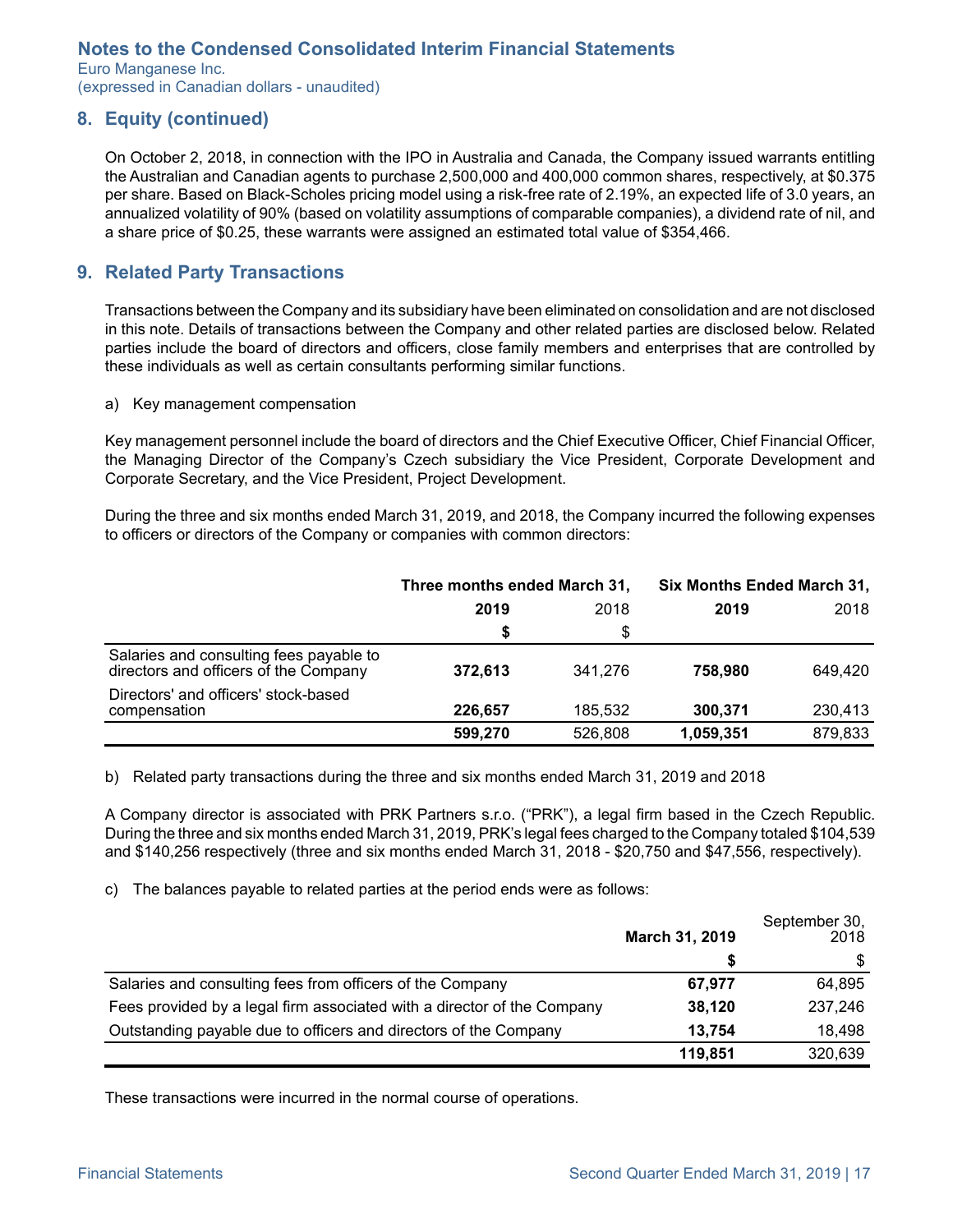<span id="page-16-0"></span>Euro Manganese Inc. (expressed in Canadian dollars - unaudited)

## **8. Equity (continued)**

On October 2, 2018, in connection with the IPO in Australia and Canada, the Company issued warrants entitling the Australian and Canadian agents to purchase 2,500,000 and 400,000 common shares, respectively, at \$0.375 per share. Based on Black-Scholes pricing model using a risk-free rate of 2.19%, an expected life of 3.0 years, an annualized volatility of 90% (based on volatility assumptions of comparable companies), a dividend rate of nil, and a share price of \$0.25, these warrants were assigned an estimated total value of \$354,466.

### **9. Related Party Transactions**

Transactions between the Company and its subsidiary have been eliminated on consolidation and are not disclosed in this note. Details of transactions between the Company and other related parties are disclosed below. Related parties include the board of directors and officers, close family members and enterprises that are controlled by these individuals as well as certain consultants performing similar functions.

a) Key management compensation

Key management personnel include the board of directors and the Chief Executive Officer, Chief Financial Officer, the Managing Director of the Company's Czech subsidiary the Vice President, Corporate Development and Corporate Secretary, and the Vice President, Project Development.

During the three and six months ended March 31, 2019, and 2018, the Company incurred the following expenses to officers or directors of the Company or companies with common directors:

|                                                                                  | Three months ended March 31, |         | <b>Six Months Ended March 31,</b> |         |
|----------------------------------------------------------------------------------|------------------------------|---------|-----------------------------------|---------|
|                                                                                  | 2019                         | 2018    | 2019                              | 2018    |
|                                                                                  | Ŝ.                           | \$      |                                   |         |
| Salaries and consulting fees payable to<br>directors and officers of the Company | 372.613                      | 341.276 | 758,980                           | 649.420 |
| Directors' and officers' stock-based<br>compensation                             | 226,657                      | 185,532 | 300.371                           | 230,413 |
|                                                                                  | 599,270                      | 526,808 | 1,059,351                         | 879,833 |

b) Related party transactions during the three and six months ended March 31, 2019 and 2018

A Company director is associated with PRK Partners s.r.o. ("PRK"), a legal firm based in the Czech Republic. During the three and six months ended March 31, 2019, PRK's legal fees charged to the Company totaled \$104,539 and \$140,256 respectively (three and six months ended March 31, 2018 - \$20,750 and \$47,556, respectively).

c) The balances payable to related parties at the period ends were as follows:

|                                                                         | March 31, 2019 | September 30,<br>2018 |
|-------------------------------------------------------------------------|----------------|-----------------------|
|                                                                         |                |                       |
| Salaries and consulting fees from officers of the Company               | 67.977         | 64,895                |
| Fees provided by a legal firm associated with a director of the Company | 38,120         | 237,246               |
| Outstanding payable due to officers and directors of the Company        | 13,754         | 18,498                |
|                                                                         | 119,851        | 320,639               |

These transactions were incurred in the normal course of operations.